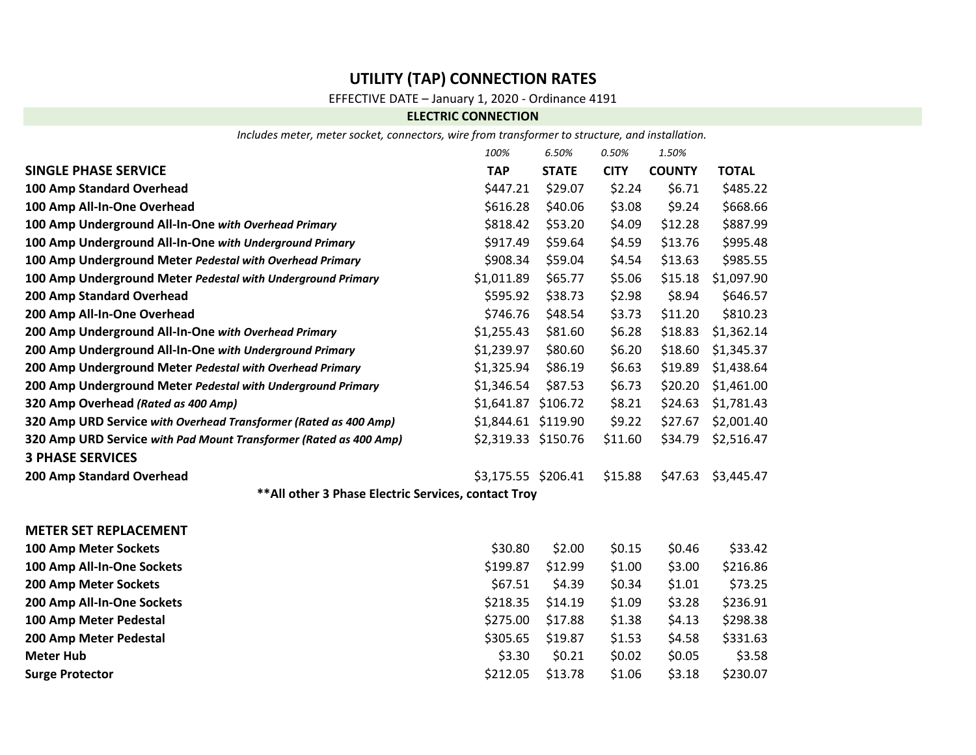# **UTILITY (TAP) CONNECTION RATES**

## EFFECTIVE DATE – January 1, 2020 - Ordinance 4191

### **ELECTRIC CONNECTION**

*Includes meter, meter socket, connectors, wire from transformer to structure, and installation.*

|                                                                   | 100%                | 6.50%        | 0.50%       | 1.50%         |              |  |  |  |
|-------------------------------------------------------------------|---------------------|--------------|-------------|---------------|--------------|--|--|--|
| <b>SINGLE PHASE SERVICE</b>                                       | <b>TAP</b>          | <b>STATE</b> | <b>CITY</b> | <b>COUNTY</b> | <b>TOTAL</b> |  |  |  |
| 100 Amp Standard Overhead                                         | \$447.21            | \$29.07      | \$2.24      | \$6.71        | \$485.22     |  |  |  |
| 100 Amp All-In-One Overhead                                       | \$616.28            | \$40.06      | \$3.08      | \$9.24        | \$668.66     |  |  |  |
| 100 Amp Underground All-In-One with Overhead Primary              | \$818.42            | \$53.20      | \$4.09      | \$12.28       | \$887.99     |  |  |  |
| 100 Amp Underground All-In-One with Underground Primary           | \$917.49            | \$59.64      | \$4.59      | \$13.76       | \$995.48     |  |  |  |
| 100 Amp Underground Meter Pedestal with Overhead Primary          | \$908.34            | \$59.04      | \$4.54      | \$13.63       | \$985.55     |  |  |  |
| 100 Amp Underground Meter Pedestal with Underground Primary       | \$1,011.89          | \$65.77      | \$5.06      | \$15.18       | \$1,097.90   |  |  |  |
| 200 Amp Standard Overhead                                         | \$595.92            | \$38.73      | \$2.98      | \$8.94        | \$646.57     |  |  |  |
| 200 Amp All-In-One Overhead                                       | \$746.76            | \$48.54      | \$3.73      | \$11.20       | \$810.23     |  |  |  |
| 200 Amp Underground All-In-One with Overhead Primary              | \$1,255.43          | \$81.60      | \$6.28      | \$18.83       | \$1,362.14   |  |  |  |
| 200 Amp Underground All-In-One with Underground Primary           | \$1,239.97          | \$80.60      | \$6.20      | \$18.60       | \$1,345.37   |  |  |  |
| 200 Amp Underground Meter Pedestal with Overhead Primary          | \$1,325.94          | \$86.19      | \$6.63      | \$19.89       | \$1,438.64   |  |  |  |
| 200 Amp Underground Meter Pedestal with Underground Primary       | \$1,346.54          | \$87.53      | \$6.73      | \$20.20       | \$1,461.00   |  |  |  |
| 320 Amp Overhead (Rated as 400 Amp)                               | \$1,641.87 \$106.72 |              | \$8.21      | \$24.63       | \$1,781.43   |  |  |  |
| 320 Amp URD Service with Overhead Transformer (Rated as 400 Amp)  | \$1,844.61 \$119.90 |              | \$9.22      | \$27.67       | \$2,001.40   |  |  |  |
| 320 Amp URD Service with Pad Mount Transformer (Rated as 400 Amp) | \$2,319.33 \$150.76 |              | \$11.60     | \$34.79       | \$2,516.47   |  |  |  |
| <b>3 PHASE SERVICES</b>                                           |                     |              |             |               |              |  |  |  |
| 200 Amp Standard Overhead                                         | \$3,175.55 \$206.41 |              | \$15.88     | \$47.63       | \$3,445.47   |  |  |  |
| ** All other 3 Phase Electric Services, contact Troy              |                     |              |             |               |              |  |  |  |
| <b>METER SET REPLACEMENT</b>                                      |                     |              |             |               |              |  |  |  |
| 100 Amp Meter Sockets                                             | \$30.80             | \$2.00       | \$0.15      | \$0.46        | \$33.42      |  |  |  |
| 100 Amp All-In-One Sockets                                        | \$199.87            | \$12.99      | \$1.00      | \$3.00        | \$216.86     |  |  |  |
| 200 Amp Meter Sockets                                             | \$67.51             | \$4.39       | \$0.34      | \$1.01        | \$73.25      |  |  |  |
| 200 Amp All-In-One Sockets                                        | \$218.35            | \$14.19      | \$1.09      | \$3.28        | \$236.91     |  |  |  |
| 100 Amp Meter Pedestal                                            | \$275.00            | \$17.88      | \$1.38      | \$4.13        | \$298.38     |  |  |  |
| 200 Amp Meter Pedestal                                            | \$305.65            | \$19.87      | \$1.53      | \$4.58        | \$331.63     |  |  |  |
| <b>Meter Hub</b>                                                  | \$3.30              | \$0.21       | \$0.02      | \$0.05        | \$3.58       |  |  |  |
| <b>Surge Protector</b>                                            | \$212.05            | \$13.78      | \$1.06      | \$3.18        | \$230.07     |  |  |  |
|                                                                   |                     |              |             |               |              |  |  |  |